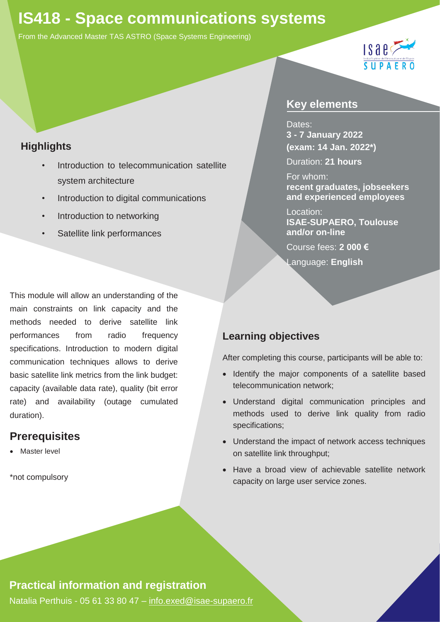# **IS418 - Space communications systems**

From the Advanced Master TAS ASTRO (Space Systems Engineering)



### **Highlights**

- *•* Introduction to telecommunication satellite system architecture
- *•* Introduction to digital communications
- *•* Introduction to networking
- **Satellite link performances**

This module will allow an understanding of the main constraints on link capacity and the methods needed to derive satellite link performances from radio frequency specifications. Introduction to modern digital communication techniques allows to derive basic satellite link metrics from the link budget: capacity (available data rate), quality (bit error rate) and availability (outage cumulated duration).

### **Prerequisites**

**Master level** 

\*not compulsory

#### **Key elements**

Dates: **3 - 7 January 2022 (exam: 14 Jan. 2022\*)**

Duration: **21 hours**

For whom: **recent graduates, jobseekers and experienced employees**

Location: **ISAE-SUPAERO, Toulouse and/or on-line**

Course fees: **2 000 €**

Language: **English**

### **Learning objectives**

After completing this course, participants will be able to:

- Identify the major components of a satellite based telecommunication network;
- Understand digital communication principles and methods used to derive link quality from radio specifications;
- Understand the impact of network access techniques on satellite link throughput;
- Have a broad view of achievable satellite network capacity on large user service zones.

### **Practical information and registration**

Natalia Perthuis - 05 61 33 80 47 – [info.exed@isae-supaero.fr](mailto:info.exed@isae-supaero.fr)